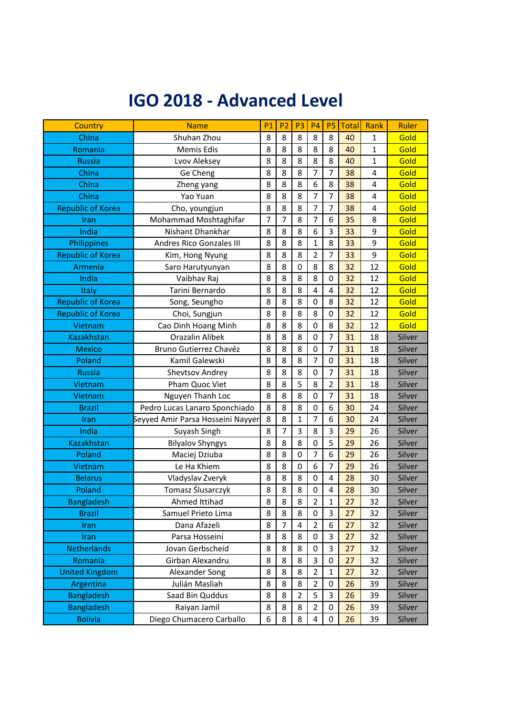## **IGO 2018 - Advanced Level**

| <b>Country</b>           | <b>Name</b>                       | <b>P1</b>      | P <sub>2</sub> | P <sub>3</sub>   | P <sub>4</sub>   | P <sub>5</sub>          | <b>Total</b> | Rank | Ruler  |
|--------------------------|-----------------------------------|----------------|----------------|------------------|------------------|-------------------------|--------------|------|--------|
| China                    | Shuhan Zhou                       | 8              | 8              | 8                | 8                | 8                       | 40           | 1    | Gold   |
| Romania                  | Memis Edis                        | 8              | 8              | 8                | 8                | 8                       | 40           | 1    | Gold   |
| <b>Russia</b>            | Lvov Aleksey                      | 8              | 8              | 8                | 8                | 8                       | 40           | 1    | Gold   |
| China                    | Ge Cheng                          | 8              | 8              | 8                | $\overline{7}$   | $\overline{7}$          | 38           | 4    | Gold   |
| China                    | Zheng yang                        | 8              | 8              | 8                | 6                | 8                       | 38           | 4    | Gold   |
| China                    | Yao Yuan                          | 8              | 8              | 8                | 7                | $\overline{7}$          | 38           | 4    | Gold   |
| <b>Republic of Korea</b> | Cho, youngjun                     | 8              | 8              | 8                | $\overline{7}$   | $\overline{7}$          | 38           | 4    | Gold   |
| Iran                     | Mohammad Moshtaghifar             | $\overline{7}$ | 7              | 8                | $\overline{7}$   | 6                       | 35           | 8    | Gold   |
| India                    | Nishant Dhankhar                  | 8              | 8              | 8                | 6                | 3                       | 33           | 9    | Gold   |
| Philippines              | Andres Rico Gonzales III          | 8              | 8              | 8                | $\mathbf{1}$     | 8                       | 33           | 9    | Gold   |
| <b>Republic of Korea</b> | Kim, Hong Nyung                   | 8              | 8              | 8                | $\overline{2}$   | $\overline{7}$          | 33           | 9    | Gold   |
| Armenia                  | Saro Harutyunyan                  | 8              | 8              | $\boldsymbol{0}$ | 8                | 8                       | 32           | 12   | Gold   |
| India                    | Vaibhav Raj                       | 8              | 8              | 8                | 8                | $\mathbf 0$             | 32           | 12   | Gold   |
| Italy                    | Tarini Bernardo                   | 8              | 8              | 8                | 4                | $\overline{\mathbf{4}}$ | 32           | 12   | Gold   |
| <b>Republic of Korea</b> | Song, Seungho                     | 8              | 8              | 8                | 0                | 8                       | 32           | 12   | Gold   |
| <b>Republic of Korea</b> | Choi, Sungjun                     | 8              | 8              | 8                | 8                | $\boldsymbol{0}$        | 32           | 12   | Gold   |
| Vietnam                  | Cao Dinh Hoang Minh               | 8              | 8              | 8                | 0                | 8                       | 32           | 12   | Gold   |
| <b>Kazakhstan</b>        | <b>Orazalin Alibek</b>            | 8              | 8              | 8                | 0                | $\overline{7}$          | 31           | 18   | Silver |
| <b>Mexico</b>            | Bruno Gutierrez Chavéz            | 8              | 8              | 8                | 0                | $\overline{7}$          | 31           | 18   | Silver |
| Poland                   | Kamil Galewski                    | 8              | 8              | 8                | 7                | $\mathbf 0$             | 31           | 18   | Silver |
| <b>Russia</b>            | Shevtsov Andrey                   | 8              | 8              | 8                | 0                | $\overline{7}$          | 31           | 18   | Silver |
| Vietnam                  | Pham Quoc Viet                    | 8              | 8              | 5                | 8                | $\overline{2}$          | 31           | 18   | Silver |
| Vietnam                  | Nguyen Thanh Loc                  | 8              | 8              | 8                | 0                | $\overline{7}$          | 31           | 18   | Silver |
| <b>Brazil</b>            | Pedro Lucas Lanaro Sponchiado     | 8              | 8              | 8                | 0                | 6                       | 30           | 24   | Silver |
| Iran                     | Seyyed Amir Parsa Hosseini Nayyer | 8              | 8              | $\mathbf{1}$     | 7                | 6                       | 30           | 24   | Silver |
| India                    | Suyash Singh                      | 8              | 7              | 3                | 8                | 3                       | 29           | 26   | Silver |
| <b>Kazakhstan</b>        | <b>Bilyalov Shyngys</b>           | 8              | 8              | 8                | 0                | 5                       | 29           | 26   | Silver |
| Poland                   | Maciej Dziuba                     | 8              | 8              | $\mathbf 0$      | $\overline{7}$   | 6                       | 29           | 26   | Silver |
| Vietnam                  | Le Ha Khiem                       | 8              | 8              | 0                | 6                | $\overline{7}$          | 29           | 26   | Silver |
| <b>Belarus</b>           | Vladyslav Zveryk                  | 8              | 8              | 8                | 0                | 4                       | 28           | 30   | Silver |
| Poland                   | Tomasz Ślusarczyk                 | 8              | 8              | 8                | $\boldsymbol{0}$ | $\overline{\mathbf{4}}$ | 28           | 30   | Silver |
| Bangladesh               | Ahmed Ittihad                     | 8              | 8              | 8                | $\overline{2}$   | $\mathbf 1$             | 27           | 32   | Silver |
| <b>Brazil</b>            | Samuel Prieto Lima                | 8              | 8              | 8                | 0                | 3                       | 27           | 32   | Silver |
| Iran                     | Dana Afazeli                      | 8              | $\overline{7}$ | $\overline{4}$   | $\overline{2}$   | 6                       | 27           | 32   | Silver |
| Iran                     | Parsa Hosseini                    | 8              | 8              | 8                | $\boldsymbol{0}$ | 3                       | 27           | 32   | Silver |
| Netherlands              | Jovan Gerbscheid                  | 8              | 8              | 8                | 0                | 3                       | 27           | 32   | Silver |
| Romania                  | Girban Alexandru                  | 8              | 8              | 8                | 3                | 0                       | 27           | 32   | Silver |
| <b>United Kingdom</b>    | Alexander Song                    | 8              | 8              | 8                | $\overline{2}$   | $\mathbf 1$             | 27           | 32   | Silver |
| Argentina                | Julián Masliah                    | 8              | 8              | 8                | $\overline{2}$   | 0                       | 26           | 39   | Silver |
| <b>Bangladesh</b>        | Saad Bin Quddus                   | 8              | 8              | $\overline{2}$   | 5                | 3                       | 26           | 39   | Silver |
| <b>Bangladesh</b>        | Raiyan Jamil                      | 8              | 8              | 8                | $\overline{2}$   | 0                       | 26           | 39   | Silver |
| <b>Bolivia</b>           | Diego Chumacero Carballo          | 6              | 8              | 8                | 4                | 0                       | 26           | 39   | Silver |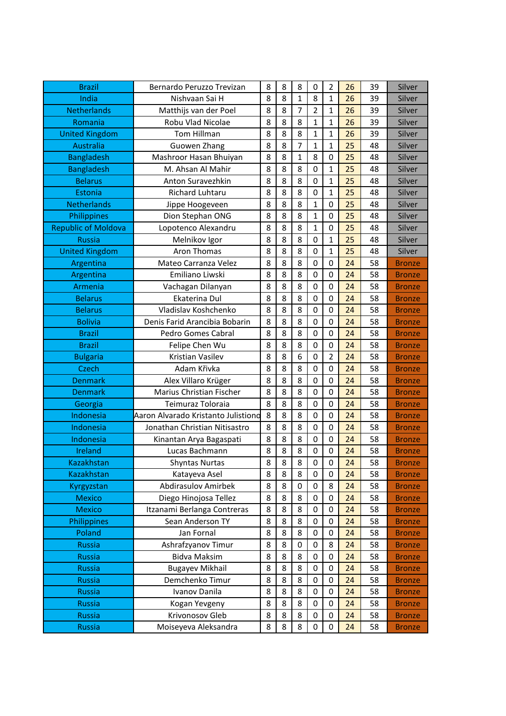| <b>Brazil</b>              | Bernardo Peruzzo Trevizan           | 8 | 8 | 8                | 0                | $\overline{2}$   | 26 | 39 | Silver        |
|----------------------------|-------------------------------------|---|---|------------------|------------------|------------------|----|----|---------------|
| India                      | Nishvaan Sai H                      | 8 | 8 | $\mathbf 1$      | 8                | $\mathbf 1$      | 26 | 39 | Silver        |
| <b>Netherlands</b>         | Matthijs van der Poel               | 8 | 8 | $\overline{7}$   | $\overline{2}$   | 1                | 26 | 39 | Silver        |
| Romania                    | Robu Vlad Nicolae                   | 8 | 8 | 8                | 1                | 1                | 26 | 39 | Silver        |
| <b>United Kingdom</b>      | Tom Hillman                         | 8 | 8 | 8                | $\mathbf{1}$     | $\mathbf{1}$     | 26 | 39 | Silver        |
| <b>Australia</b>           | Guowen Zhang                        | 8 | 8 | $\overline{7}$   | $\mathbf{1}$     | 1                | 25 | 48 | Silver        |
| Bangladesh                 | Mashroor Hasan Bhuiyan              | 8 | 8 | $\mathbf 1$      | 8                | $\mathbf 0$      | 25 | 48 | Silver        |
| <b>Bangladesh</b>          | M. Ahsan Al Mahir                   | 8 | 8 | 8                | $\mathbf 0$      | $\mathbf{1}$     | 25 | 48 | Silver        |
| <b>Belarus</b>             | Anton Suravezhkin                   | 8 | 8 | 8                | 0                | 1                | 25 | 48 | Silver        |
| Estonia                    | Richard Luhtaru                     | 8 | 8 | 8                | 0                | 1                | 25 | 48 | Silver        |
| <b>Netherlands</b>         | Jippe Hoogeveen                     | 8 | 8 | 8                | $\mathbf 1$      | $\mathbf 0$      | 25 | 48 | Silver        |
| Philippines                | Dion Stephan ONG                    | 8 | 8 | 8                | $\mathbf 1$      | $\boldsymbol{0}$ | 25 | 48 | Silver        |
| <b>Republic of Moldova</b> | Lopotenco Alexandru                 | 8 | 8 | 8                | 1                | 0                | 25 | 48 | Silver        |
| <b>Russia</b>              | Melnikov Igor                       | 8 | 8 | 8                | 0                | $\mathbf 1$      | 25 | 48 | Silver        |
| <b>United Kingdom</b>      | <b>Aron Thomas</b>                  | 8 | 8 | 8                | $\mathbf 0$      | $\mathbf{1}$     | 25 | 48 | Silver        |
| Argentina                  | Mateo Carranza Velez                | 8 | 8 | 8                | $\mathbf 0$      | 0                | 24 | 58 | <b>Bronze</b> |
| Argentina                  | Emiliano Liwski                     | 8 | 8 | 8                | 0                | $\boldsymbol{0}$ | 24 | 58 | <b>Bronze</b> |
| Armenia                    | Vachagan Dilanyan                   | 8 | 8 | 8                | $\mathbf 0$      | $\mathbf 0$      | 24 | 58 | <b>Bronze</b> |
| <b>Belarus</b>             | Ekaterina Dul                       | 8 | 8 | 8                | 0                | $\mathbf 0$      | 24 | 58 | <b>Bronze</b> |
| <b>Belarus</b>             | Vladislav Koshchenko                | 8 | 8 | 8                | 0                | 0                | 24 | 58 | <b>Bronze</b> |
| <b>Bolivia</b>             | Denis Farid Arancibia Bobarin       | 8 | 8 | 8                | $\mathbf 0$      | $\mathbf 0$      | 24 | 58 | <b>Bronze</b> |
| <b>Brazil</b>              | Pedro Gomes Cabral                  | 8 | 8 | 8                | $\boldsymbol{0}$ | $\boldsymbol{0}$ | 24 | 58 | <b>Bronze</b> |
| <b>Brazil</b>              | Felipe Chen Wu                      | 8 | 8 | 8                | $\mathbf 0$      | $\mathbf 0$      | 24 | 58 | <b>Bronze</b> |
| <b>Bulgaria</b>            | Kristian Vasilev                    | 8 | 8 | 6                | $\mathbf 0$      | $\overline{2}$   | 24 | 58 | <b>Bronze</b> |
| <b>Czech</b>               | Adam Křivka                         | 8 | 8 | 8                | $\mathbf 0$      | $\mathbf 0$      | 24 | 58 | <b>Bronze</b> |
| <b>Denmark</b>             | Alex Villaro Krüger                 | 8 | 8 | 8                | $\mathbf 0$      | $\mathbf 0$      | 24 | 58 | <b>Bronze</b> |
| <b>Denmark</b>             | Marius Christian Fischer            | 8 | 8 | 8                | 0                | 0                | 24 | 58 | <b>Bronze</b> |
| Georgia                    | Teimuraz Toloraia                   | 8 | 8 | 8                | $\mathbf 0$      | $\mathbf 0$      | 24 | 58 | <b>Bronze</b> |
| Indonesia                  | Aaron Alvarado Kristanto Julistiono | 8 | 8 | 8                | 0                | $\pmb{0}$        | 24 | 58 | <b>Bronze</b> |
| Indonesia                  | Jonathan Christian Nitisastro       | 8 | 8 | 8                | 0                | $\mathbf 0$      | 24 | 58 | <b>Bronze</b> |
| Indonesia                  | Kinantan Arya Bagaspati             | 8 | 8 | 8                | $\mathbf 0$      | $\mathbf 0$      | 24 | 58 | <b>Bronze</b> |
| Ireland                    | Lucas Bachmann                      | 8 | 8 | 8                | $\boldsymbol{0}$ | $\boldsymbol{0}$ | 24 | 58 | <b>Bronze</b> |
| <b>Kazakhstan</b>          | <b>Shyntas Nurtas</b>               | 8 | 8 | 8                | 0                | 0                | 24 | 58 | <b>Bronze</b> |
| <b>Kazakhstan</b>          | Katayeva Asel                       | 8 | 8 | 8                | 0                | $\mathbf 0$      | 24 | 58 | <b>Bronze</b> |
| Kyrgyzstan                 | <b>Abdirasulov Amirbek</b>          | 8 | 8 | $\boldsymbol{0}$ | 0                | 8                | 24 | 58 | <b>Bronze</b> |
| <b>Mexico</b>              | Diego Hinojosa Tellez               | 8 | 8 | 8                | 0                | 0                | 24 | 58 | <b>Bronze</b> |
| <b>Mexico</b>              | Itzanami Berlanga Contreras         | 8 | 8 | 8                | 0                | 0                | 24 | 58 | <b>Bronze</b> |
| Philippines                | Sean Anderson TY                    | 8 | 8 | 8                | $\mathbf 0$      | $\mathbf 0$      | 24 | 58 | <b>Bronze</b> |
| Poland                     | Jan Fornal                          | 8 | 8 | 8                | 0                | 0                | 24 | 58 | <b>Bronze</b> |
| <b>Russia</b>              | Ashrafzyanov Timur                  | 8 | 8 | 0                | 0                | 8                | 24 | 58 | <b>Bronze</b> |
| <b>Russia</b>              | <b>Bidva Maksim</b>                 | 8 | 8 | 8                | $\boldsymbol{0}$ | $\boldsymbol{0}$ | 24 | 58 | <b>Bronze</b> |
| <b>Russia</b>              | <b>Bugayev Mikhail</b>              | 8 | 8 | 8                | 0                | 0                | 24 | 58 | <b>Bronze</b> |
| <b>Russia</b>              | Demchenko Timur                     | 8 | 8 | 8                | 0                | 0                | 24 | 58 | <b>Bronze</b> |
| <b>Russia</b>              | Ivanov Danila                       | 8 | 8 | 8                | $\boldsymbol{0}$ | $\pmb{0}$        | 24 | 58 | <b>Bronze</b> |
| <b>Russia</b>              | Kogan Yevgeny                       | 8 | 8 | 8                | $\boldsymbol{0}$ | $\boldsymbol{0}$ | 24 | 58 | <b>Bronze</b> |
| <b>Russia</b>              | Krivonosov Gleb                     | 8 | 8 | 8                | 0                | $\boldsymbol{0}$ | 24 | 58 | <b>Bronze</b> |
| <b>Russia</b>              | Moiseyeva Aleksandra                | 8 | 8 | 8                | 0                | 0                | 24 | 58 | <b>Bronze</b> |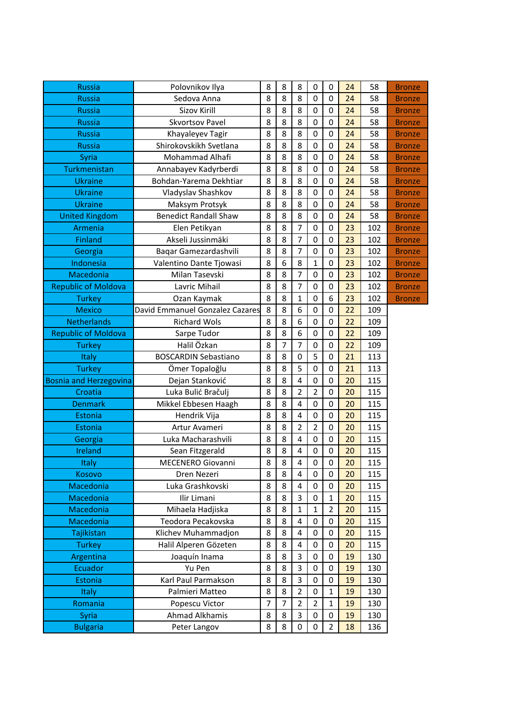| <b>Russia</b>                 | Polovnikov Ilya                 | 8              | 8              | 8                       | 0                | $\mathbf 0$      | 24 | 58  | <b>Bronze</b> |
|-------------------------------|---------------------------------|----------------|----------------|-------------------------|------------------|------------------|----|-----|---------------|
| <b>Russia</b>                 | Sedova Anna                     | 8              | 8              | 8                       | $\mathbf 0$      | $\mathbf 0$      | 24 | 58  | <b>Bronze</b> |
| <b>Russia</b>                 | <b>Sizov Kirill</b>             | 8              | 8              | 8                       | $\mathbf 0$      | $\mathbf 0$      | 24 | 58  | <b>Bronze</b> |
| <b>Russia</b>                 | <b>Skvortsov Pavel</b>          | 8              | 8              | 8                       | $\boldsymbol{0}$ | $\mathbf 0$      | 24 | 58  | <b>Bronze</b> |
| <b>Russia</b>                 | Khayaleyev Tagir                | 8              | 8              | 8                       | $\mathbf 0$      | $\mathbf 0$      | 24 | 58  | <b>Bronze</b> |
| <b>Russia</b>                 | Shirokovskikh Svetlana          | 8              | 8              | 8                       | $\boldsymbol{0}$ | $\mathbf 0$      | 24 | 58  | <b>Bronze</b> |
| Syria                         | Mohammad Alhafi                 | 8              | 8              | 8                       | $\mathbf 0$      | $\mathbf 0$      | 24 | 58  | <b>Bronze</b> |
| Turkmenistan                  | Annabayev Kadyrberdi            | 8              | 8              | 8                       | $\mathbf 0$      | $\mathbf 0$      | 24 | 58  | <b>Bronze</b> |
| <b>Ukraine</b>                | Bohdan-Yarema Dekhtiar          | 8              | 8              | 8                       | $\mathbf 0$      | $\mathbf 0$      | 24 | 58  | <b>Bronze</b> |
| <b>Ukraine</b>                | Vladyslav Shashkov              | 8              | 8              | 8                       | $\mathbf 0$      | $\mathbf 0$      | 24 | 58  | <b>Bronze</b> |
| <b>Ukraine</b>                | Maksym Protsyk                  | 8              | 8              | 8                       | $\mathbf 0$      | $\mathbf 0$      | 24 | 58  | <b>Bronze</b> |
| <b>United Kingdom</b>         | <b>Benedict Randall Shaw</b>    | 8              | 8              | 8                       | $\mathbf 0$      | $\mathbf 0$      | 24 | 58  | <b>Bronze</b> |
| Armenia                       | Elen Petikyan                   | 8              | 8              | $\overline{7}$          | $\mathbf 0$      | $\mathbf 0$      | 23 | 102 | <b>Bronze</b> |
| <b>Finland</b>                | Akseli Jussinmäki               | 8              | 8              | $\overline{7}$          | $\boldsymbol{0}$ | $\mathbf 0$      | 23 | 102 | <b>Bronze</b> |
| Georgia                       | Baqar Gamezardashvili           | 8              | 8              | $\overline{7}$          | $\mathbf 0$      | $\mathbf 0$      | 23 | 102 | <b>Bronze</b> |
| Indonesia                     | Valentino Dante Tjowasi         | 8              | 6              | 8                       | $\mathbf{1}$     | $\mathbf 0$      | 23 | 102 | <b>Bronze</b> |
| Macedonia                     | Milan Tasevski                  | 8              | 8              | $\overline{7}$          | $\mathbf 0$      | $\mathbf 0$      | 23 | 102 | <b>Bronze</b> |
| <b>Republic of Moldova</b>    | Lavric Mihail                   | 8              | 8              | $\overline{7}$          | $\mathbf 0$      | $\mathbf 0$      | 23 | 102 | <b>Bronze</b> |
| <b>Turkey</b>                 | Ozan Kaymak                     | 8              | 8              | $\mathbf{1}$            | $\mathbf 0$      | 6                | 23 | 102 | <b>Bronze</b> |
| <b>Mexico</b>                 | David Emmanuel Gonzalez Cazares | 8              | 8              | 6                       | $\mathbf 0$      | $\mathbf 0$      | 22 | 109 |               |
| <b>Netherlands</b>            | <b>Richard Wols</b>             | 8              | 8              | 6                       | $\mathbf 0$      | $\mathbf 0$      | 22 | 109 |               |
| <b>Republic of Moldova</b>    | Sarpe Tudor                     | 8              | 8              | $\sqrt{6}$              | $\mathbf 0$      | $\mathbf 0$      | 22 | 109 |               |
| <b>Turkey</b>                 | Halil Özkan                     | 8              | $\overline{7}$ | $\overline{7}$          | $\mathbf 0$      | $\mathbf 0$      | 22 | 109 |               |
| Italy                         | <b>BOSCARDIN Sebastiano</b>     | 8              | 8              | $\boldsymbol{0}$        | 5                | $\mathbf 0$      | 21 | 113 |               |
| <b>Turkey</b>                 | Ömer Topaloğlu                  | 8              | 8              | 5                       | $\mathbf 0$      | $\mathbf 0$      | 21 | 113 |               |
| <b>Bosnia and Herzegovina</b> | Dejan Stanković                 | 8              | 8              | $\overline{\mathbf{4}}$ | $\boldsymbol{0}$ | $\mathbf 0$      | 20 | 115 |               |
| Croatia                       | Luka Bulić Bračulj              | 8              | 8              | $\overline{2}$          | $\overline{2}$   | $\mathbf 0$      | 20 | 115 |               |
| <b>Denmark</b>                | Mikkel Ebbesen Haagh            | 8              | 8              | $\overline{\mathbf{4}}$ | $\mathbf 0$      | $\mathbf 0$      | 20 | 115 |               |
| Estonia                       | Hendrik Vija                    | 8              | 8              | $\overline{\mathbf{4}}$ | $\boldsymbol{0}$ | $\mathbf 0$      | 20 | 115 |               |
| Estonia                       | Artur Avameri                   | 8              | 8              | $\overline{2}$          | $\overline{2}$   | $\mathbf 0$      | 20 | 115 |               |
| Georgia                       | Luka Macharashvili              | 8              | 8              | $\overline{\mathbf{4}}$ | $\mathbf 0$      | $\mathbf 0$      | 20 | 115 |               |
| Ireland                       | Sean Fitzgerald                 | 8              | 8              | $\overline{\mathbf{4}}$ | $\mathbf 0$      | $\mathbf 0$      | 20 | 115 |               |
| Italy                         | <b>MECENERO Giovanni</b>        | 8              | 8              | 4                       | $\boldsymbol{0}$ | $\mathbf 0$      | 20 | 115 |               |
| Kosovo                        | Dren Nezeri                     | 8              | 8              | $\overline{\mathbf{4}}$ | $\mathbf 0$      | 0                | 20 | 115 |               |
| Macedonia                     | Luka Grashkovski                | 8              | 8              | $\overline{4}$          | 0                | $\mathbf 0$      | 20 | 115 |               |
| Macedonia                     | Ilir Limani                     | 8              | 8              | 3                       | 0                | $\mathbf 1$      | 20 | 115 |               |
| Macedonia                     | Mihaela Hadjiska                | 8              | 8              | $\mathbf{1}$            | $\mathbf{1}$     | $\overline{2}$   | 20 | 115 |               |
| Macedonia                     | Teodora Pecakovska              | 8              | 8              | $\overline{\mathbf{4}}$ | 0                | 0                | 20 | 115 |               |
| Tajikistan                    | Klichev Muhammadjon             | 8              | 8              | $\overline{4}$          | 0                | $\mathbf 0$      | 20 | 115 |               |
| <b>Turkey</b>                 | Halil Alperen Gözeten           | 8              | 8              | 4                       | 0                | $\mathbf 0$      | 20 | 115 |               |
| Argentina                     | Joaquín Inama                   | 8              | 8              | $\overline{3}$          | $\boldsymbol{0}$ | $\boldsymbol{0}$ | 19 | 130 |               |
| Ecuador                       | Yu Pen                          | 8              | 8              | 3                       | 0                | 0                | 19 | 130 |               |
| Estonia                       | Karl Paul Parmakson             | 8              | 8              | 3                       | 0                | $\mathbf 0$      | 19 | 130 |               |
| Italy                         | Palmieri Matteo                 | 8              | 8              | $\overline{2}$          | 0                | $\mathbf 1$      | 19 | 130 |               |
| Romania                       | Popescu Victor                  | $\overline{7}$ | $\overline{7}$ | $\overline{2}$          | $\overline{2}$   | $\mathbf 1$      | 19 | 130 |               |
| Syria                         | Ahmad Alkhamis                  | 8              | 8              | 3                       | $\boldsymbol{0}$ | $\mathbf 0$      | 19 | 130 |               |
| <b>Bulgaria</b>               | Peter Langov                    | 8              | 8              | 0                       | 0                | $\overline{2}$   | 18 | 136 |               |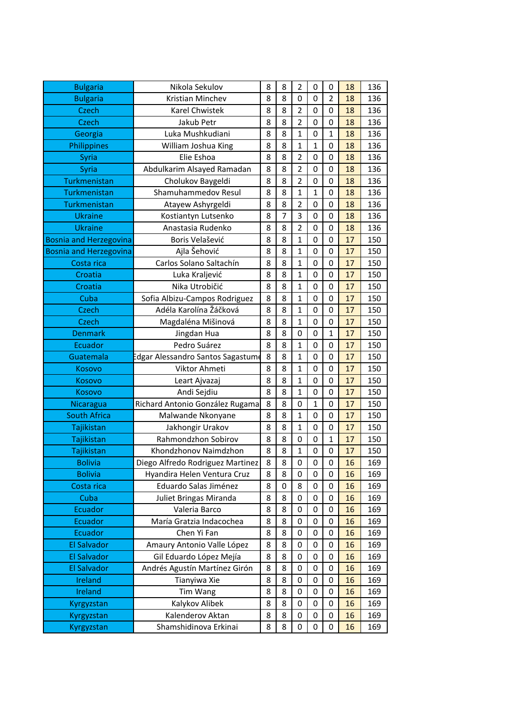| <b>Bulgaria</b>               | Nikola Sekulov                   | 8 | 8              | $\overline{2}$   | 0              | 0                | 18 | 136 |
|-------------------------------|----------------------------------|---|----------------|------------------|----------------|------------------|----|-----|
| <b>Bulgaria</b>               | Kristian Minchev                 | 8 | 8              | $\mathbf 0$      | $\mathbf 0$    | $\overline{2}$   | 18 | 136 |
| <b>Czech</b>                  | Karel Chwistek                   | 8 | 8              | $\overline{2}$   | 0              | 0                | 18 | 136 |
| <b>Czech</b>                  | Jakub Petr                       | 8 | 8              | $\overline{2}$   | 0              | 0                | 18 | 136 |
| Georgia                       | Luka Mushkudiani                 | 8 | 8              | $\mathbf 1$      | 0              | $\mathbf 1$      | 18 | 136 |
| Philippines                   | William Joshua King              | 8 | 8              | 1                | 1              | 0                | 18 | 136 |
| Syria                         | Elie Eshoa                       | 8 | 8              | $\overline{2}$   | 0              | 0                | 18 | 136 |
| Syria                         | Abdulkarim Alsayed Ramadan       | 8 | 8              | $\overline{2}$   | $\mathbf 0$    | 0                | 18 | 136 |
| Turkmenistan                  | Cholukov Baygeldi                | 8 | 8              | $\overline{2}$   | $\mathbf 0$    | 0                | 18 | 136 |
| Turkmenistan                  | Shamuhammedov Resul              | 8 | 8              | 1                | $\mathbf 1$    | 0                | 18 | 136 |
| Turkmenistan                  | Atayew Ashyrgeldi                | 8 | 8              | $\overline{2}$   | $\mathbf 0$    | 0                | 18 | 136 |
| <b>Ukraine</b>                | Kostiantyn Lutsenko              | 8 | $\overline{7}$ | 3                | $\mathbf 0$    | 0                | 18 | 136 |
| <b>Ukraine</b>                | Anastasia Rudenko                | 8 | 8              | $\overline{2}$   | 0              | 0                | 18 | 136 |
| <b>Bosnia and Herzegovina</b> | Boris Velašević                  | 8 | 8              | $\mathbf 1$      | 0              | 0                | 17 | 150 |
| <b>Bosnia and Herzegovina</b> | Ajla Šehović                     | 8 | 8              | $\mathbf 1$      | $\mathbf 0$    | 0                | 17 | 150 |
| Costa rica                    | Carlos Solano Saltachín          | 8 | 8              | 1                | 0              | 0                | 17 | 150 |
| Croatia                       | Luka Kraljević                   | 8 | 8              | 1                | 0              | 0                | 17 | 150 |
| Croatia                       | Nika Utrobičić                   | 8 | 8              | $\mathbf{1}$     | 0              | 0                | 17 | 150 |
| Cuba                          | Sofia Albizu-Campos Rodriguez    | 8 | 8              | $\mathbf{1}$     | $\mathbf 0$    | 0                | 17 | 150 |
| <b>Czech</b>                  | Adéla Karolína Žáčková           | 8 | 8              | 1                | 0              | 0                | 17 | 150 |
| <b>Czech</b>                  | Magdaléna Mišinová               | 8 | 8              | 1                | 0              | 0                | 17 | 150 |
| <b>Denmark</b>                | Jingdan Hua                      | 8 | 8              | $\mathbf 0$      | $\mathbf 0$    | $\mathbf 1$      | 17 | 150 |
| Ecuador                       | Pedro Suárez                     | 8 | 8              | $\mathbf 1$      | 0              | 0                | 17 | 150 |
| Guatemala                     | dgar Alessandro Santos Sagastume | 8 | 8              | 1                | 0              | 0                | 17 | 150 |
| Kosovo                        | Viktor Ahmeti                    | 8 | 8              | $\mathbf{1}$     | $\mathbf 0$    | 0                | 17 | 150 |
| Kosovo                        | Leart Ajvazaj                    | 8 | 8              | 1                | 0              | 0                | 17 | 150 |
| Kosovo                        | Andi Sejdiu                      | 8 | 8              | 1                | 0              | 0                | 17 | 150 |
| Nicaragua                     | Richard Antonio González Rugama  | 8 | 8              | $\boldsymbol{0}$ | $\mathbf 1$    | 0                | 17 | 150 |
| <b>South Africa</b>           | Malwande Nkonyane                | 8 | 8              | $\mathbf 1$      | $\mathbf 0$    | 0                | 17 | 150 |
| Tajikistan                    | Jakhongir Urakov                 | 8 | 8              | 1                | 0              | 0                | 17 | 150 |
| Tajikistan                    | Rahmondzhon Sobirov              | 8 | 8              | $\mathbf 0$      | 0              | $\mathbf 1$      | 17 | 150 |
| Tajikistan                    | Khondzhonov Naimdzhon            | 8 | 8              | $\overline{1}$   | $\mathbf 0$    | $\boldsymbol{0}$ | 17 | 150 |
| <b>Bolivia</b>                | Diego Alfredo Rodriguez Martinez | 8 | 8              | $\boldsymbol{0}$ | $\overline{0}$ | $\overline{0}$   | 16 | 169 |
| <b>Bolivia</b>                | Hyandira Helen Ventura Cruz      | 8 | 8              | 0                | 0              | 0                | 16 | 169 |
| Costa rica                    | Eduardo Salas Jiménez            | 8 | 0              | 8                | 0              | 0                | 16 | 169 |
| Cuba                          | Juliet Bringas Miranda           | 8 | 8              | 0                | 0              | 0                | 16 | 169 |
| Ecuador                       | Valeria Barco                    | 8 | 8              | $\mathbf 0$      | 0              | 0                | 16 | 169 |
| Ecuador                       | María Gratzia Indacochea         | 8 | 8              | $\boldsymbol{0}$ | 0              | 0                | 16 | 169 |
| Ecuador                       | Chen Yi Fan                      | 8 | 8              | 0                | $\mathbf 0$    | 0                | 16 | 169 |
| <b>El Salvador</b>            | Amaury Antonio Valle López       | 8 | 8              | 0                | 0              | 0                | 16 | 169 |
| <b>El Salvador</b>            | Gil Eduardo López Mejía          | 8 | 8              | 0                | 0              | 0                | 16 | 169 |
| <b>El Salvador</b>            | Andrés Agustín Martínez Girón    | 8 | 8              | 0                | $\mathbf 0$    | 0                | 16 | 169 |
| Ireland                       | Tianyiwa Xie                     | 8 | 8              | 0                | 0              | 0                | 16 | 169 |
| Ireland                       | Tim Wang                         | 8 | 8              | 0                | 0              | 0                | 16 | 169 |
| Kyrgyzstan                    | Kalykov Alibek                   | 8 | 8              | 0                | $\mathbf 0$    | 0                | 16 | 169 |
| Kyrgyzstan                    | Kalenderov Aktan                 | 8 | 8              | 0                | 0              | 0                | 16 | 169 |
| Kyrgyzstan                    | Shamshidinova Erkinai            | 8 | 8              | $\boldsymbol{0}$ | 0              | 0                | 16 | 169 |